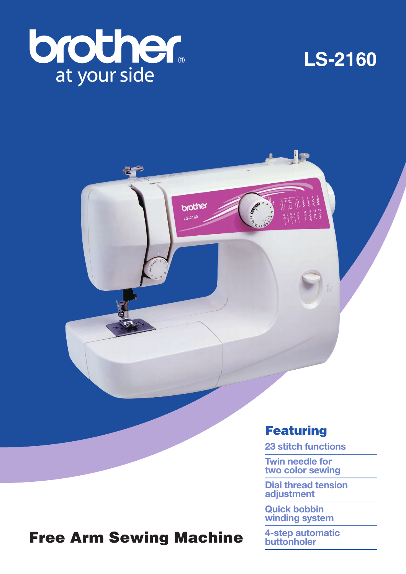





## **Featuring**

**23 stitch functions**

**Twin needle for two color sewing**

**Dial thread tension adjustment**

**Quick bobbin winding system**

**4-step automatic buttonholer**

## **Free Arm Sewing Machine**